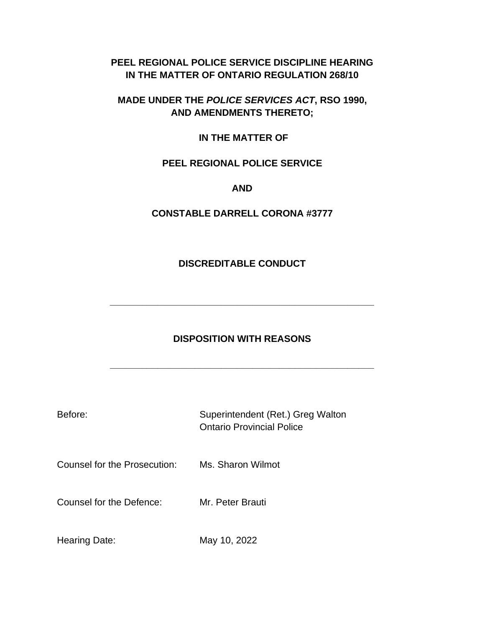# **PEEL REGIONAL POLICE SERVICE DISCIPLINE HEARING IN THE MATTER OF ONTARIO REGULATION 268/10**

## **MADE UNDER THE** *POLICE SERVICES ACT***, RSO 1990, AND AMENDMENTS THERETO;**

#### **IN THE MATTER OF**

# **PEEL REGIONAL POLICE SERVICE**

#### **AND**

## **CONSTABLE DARRELL CORONA #3777**

#### **DISCREDITABLE CONDUCT**

**\_\_\_\_\_\_\_\_\_\_\_\_\_\_\_\_\_\_\_\_\_\_\_\_\_\_\_\_\_\_\_\_\_\_\_\_\_\_\_\_\_\_\_\_\_\_\_\_\_\_**

# **DISPOSITION WITH REASONS**

**\_\_\_\_\_\_\_\_\_\_\_\_\_\_\_\_\_\_\_\_\_\_\_\_\_\_\_\_\_\_\_\_\_\_\_\_\_\_\_\_\_\_\_\_\_\_\_\_\_\_**

| Before:                      | Superintendent (Ret.) Greg Walton<br><b>Ontario Provincial Police</b> |
|------------------------------|-----------------------------------------------------------------------|
| Counsel for the Prosecution: | Ms. Sharon Wilmot                                                     |
| Counsel for the Defence:     | Mr. Peter Brauti                                                      |
| Hearing Date:                | May 10, 2022                                                          |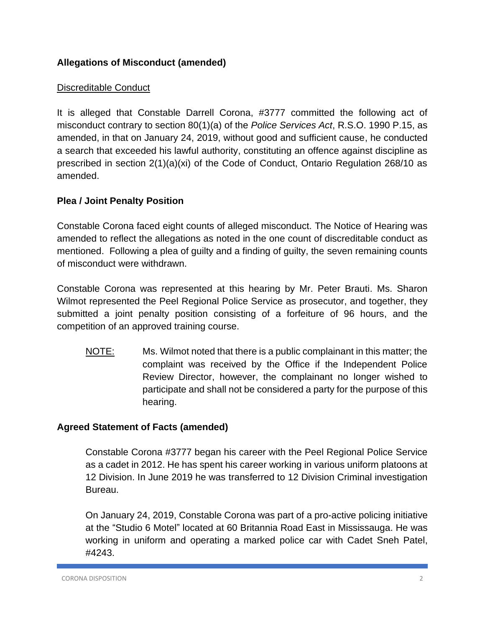# **Allegations of Misconduct (amended)**

## Discreditable Conduct

It is alleged that Constable Darrell Corona, #3777 committed the following act of misconduct contrary to section 80(1)(a) of the *Police Services Act*, R.S.O. 1990 P.15, as amended, in that on January 24, 2019, without good and sufficient cause, he conducted a search that exceeded his lawful authority, constituting an offence against discipline as prescribed in section 2(1)(a)(xi) of the Code of Conduct, Ontario Regulation 268/10 as amended.

## **Plea / Joint Penalty Position**

Constable Corona faced eight counts of alleged misconduct. The Notice of Hearing was amended to reflect the allegations as noted in the one count of discreditable conduct as mentioned. Following a plea of guilty and a finding of guilty, the seven remaining counts of misconduct were withdrawn.

Constable Corona was represented at this hearing by Mr. Peter Brauti. Ms. Sharon Wilmot represented the Peel Regional Police Service as prosecutor, and together, they submitted a joint penalty position consisting of a forfeiture of 96 hours, and the competition of an approved training course.

NOTE: Ms. Wilmot noted that there is a public complainant in this matter; the complaint was received by the Office if the Independent Police Review Director, however, the complainant no longer wished to participate and shall not be considered a party for the purpose of this hearing.

## **Agreed Statement of Facts (amended)**

Constable Corona #3777 began his career with the Peel Regional Police Service as a cadet in 2012. He has spent his career working in various uniform platoons at 12 Division. In June 2019 he was transferred to 12 Division Criminal investigation Bureau.

On January 24, 2019, Constable Corona was part of a pro-active policing initiative at the "Studio 6 Motel" located at 60 Britannia Road East in Mississauga. He was working in uniform and operating a marked police car with Cadet Sneh Patel, #4243.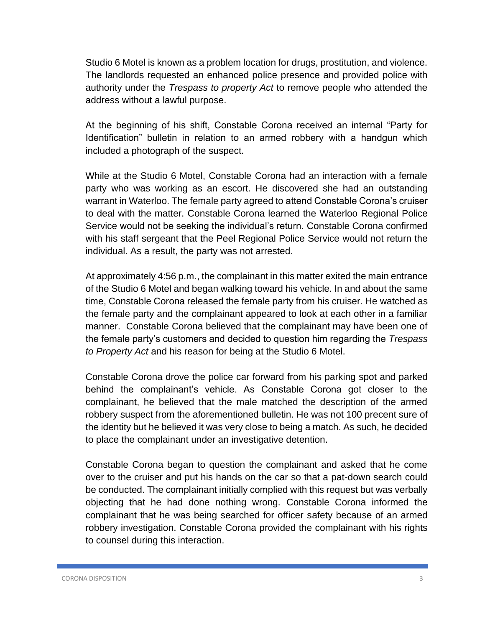Studio 6 Motel is known as a problem location for drugs, prostitution, and violence. The landlords requested an enhanced police presence and provided police with authority under the *Trespass to property Act* to remove people who attended the address without a lawful purpose.

At the beginning of his shift, Constable Corona received an internal "Party for Identification" bulletin in relation to an armed robbery with a handgun which included a photograph of the suspect.

While at the Studio 6 Motel, Constable Corona had an interaction with a female party who was working as an escort. He discovered she had an outstanding warrant in Waterloo. The female party agreed to attend Constable Corona's cruiser to deal with the matter. Constable Corona learned the Waterloo Regional Police Service would not be seeking the individual's return. Constable Corona confirmed with his staff sergeant that the Peel Regional Police Service would not return the individual. As a result, the party was not arrested.

At approximately 4:56 p.m., the complainant in this matter exited the main entrance of the Studio 6 Motel and began walking toward his vehicle. In and about the same time, Constable Corona released the female party from his cruiser. He watched as the female party and the complainant appeared to look at each other in a familiar manner. Constable Corona believed that the complainant may have been one of the female party's customers and decided to question him regarding the *Trespass to Property Act* and his reason for being at the Studio 6 Motel.

Constable Corona drove the police car forward from his parking spot and parked behind the complainant's vehicle. As Constable Corona got closer to the complainant, he believed that the male matched the description of the armed robbery suspect from the aforementioned bulletin. He was not 100 precent sure of the identity but he believed it was very close to being a match. As such, he decided to place the complainant under an investigative detention.

Constable Corona began to question the complainant and asked that he come over to the cruiser and put his hands on the car so that a pat-down search could be conducted. The complainant initially complied with this request but was verbally objecting that he had done nothing wrong. Constable Corona informed the complainant that he was being searched for officer safety because of an armed robbery investigation. Constable Corona provided the complainant with his rights to counsel during this interaction.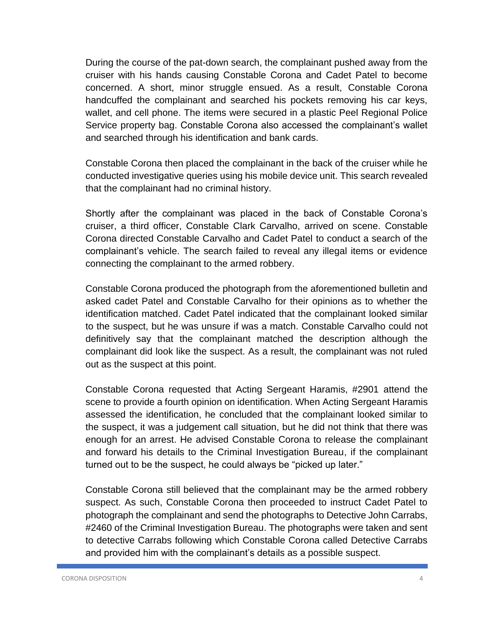During the course of the pat-down search, the complainant pushed away from the cruiser with his hands causing Constable Corona and Cadet Patel to become concerned. A short, minor struggle ensued. As a result, Constable Corona handcuffed the complainant and searched his pockets removing his car keys, wallet, and cell phone. The items were secured in a plastic Peel Regional Police Service property bag. Constable Corona also accessed the complainant's wallet and searched through his identification and bank cards.

Constable Corona then placed the complainant in the back of the cruiser while he conducted investigative queries using his mobile device unit. This search revealed that the complainant had no criminal history.

Shortly after the complainant was placed in the back of Constable Corona's cruiser, a third officer, Constable Clark Carvalho, arrived on scene. Constable Corona directed Constable Carvalho and Cadet Patel to conduct a search of the complainant's vehicle. The search failed to reveal any illegal items or evidence connecting the complainant to the armed robbery.

Constable Corona produced the photograph from the aforementioned bulletin and asked cadet Patel and Constable Carvalho for their opinions as to whether the identification matched. Cadet Patel indicated that the complainant looked similar to the suspect, but he was unsure if was a match. Constable Carvalho could not definitively say that the complainant matched the description although the complainant did look like the suspect. As a result, the complainant was not ruled out as the suspect at this point.

Constable Corona requested that Acting Sergeant Haramis, #2901 attend the scene to provide a fourth opinion on identification. When Acting Sergeant Haramis assessed the identification, he concluded that the complainant looked similar to the suspect, it was a judgement call situation, but he did not think that there was enough for an arrest. He advised Constable Corona to release the complainant and forward his details to the Criminal Investigation Bureau, if the complainant turned out to be the suspect, he could always be "picked up later."

Constable Corona still believed that the complainant may be the armed robbery suspect. As such, Constable Corona then proceeded to instruct Cadet Patel to photograph the complainant and send the photographs to Detective John Carrabs, #2460 of the Criminal Investigation Bureau. The photographs were taken and sent to detective Carrabs following which Constable Corona called Detective Carrabs and provided him with the complainant's details as a possible suspect.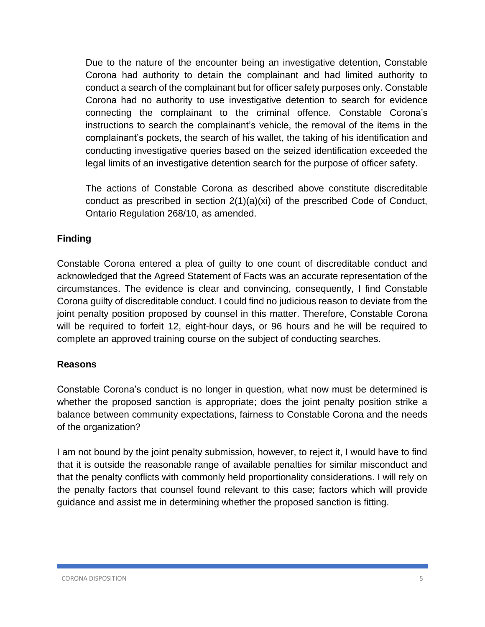Due to the nature of the encounter being an investigative detention, Constable Corona had authority to detain the complainant and had limited authority to conduct a search of the complainant but for officer safety purposes only. Constable Corona had no authority to use investigative detention to search for evidence connecting the complainant to the criminal offence. Constable Corona's instructions to search the complainant's vehicle, the removal of the items in the complainant's pockets, the search of his wallet, the taking of his identification and conducting investigative queries based on the seized identification exceeded the legal limits of an investigative detention search for the purpose of officer safety.

The actions of Constable Corona as described above constitute discreditable conduct as prescribed in section 2(1)(a)(xi) of the prescribed Code of Conduct, Ontario Regulation 268/10, as amended.

## **Finding**

Constable Corona entered a plea of guilty to one count of discreditable conduct and acknowledged that the Agreed Statement of Facts was an accurate representation of the circumstances. The evidence is clear and convincing, consequently, I find Constable Corona guilty of discreditable conduct. I could find no judicious reason to deviate from the joint penalty position proposed by counsel in this matter. Therefore, Constable Corona will be required to forfeit 12, eight-hour days, or 96 hours and he will be required to complete an approved training course on the subject of conducting searches.

## **Reasons**

Constable Corona's conduct is no longer in question, what now must be determined is whether the proposed sanction is appropriate; does the joint penalty position strike a balance between community expectations, fairness to Constable Corona and the needs of the organization?

I am not bound by the joint penalty submission, however, to reject it, I would have to find that it is outside the reasonable range of available penalties for similar misconduct and that the penalty conflicts with commonly held proportionality considerations. I will rely on the penalty factors that counsel found relevant to this case; factors which will provide guidance and assist me in determining whether the proposed sanction is fitting.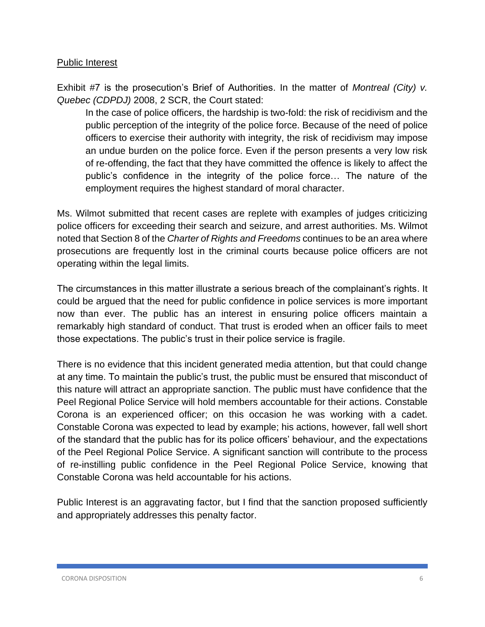#### Public Interest

Exhibit #7 is the prosecution's Brief of Authorities. In the matter of *Montreal (City) v. Quebec (CDPDJ)* 2008, 2 SCR, the Court stated:

In the case of police officers, the hardship is two-fold: the risk of recidivism and the public perception of the integrity of the police force. Because of the need of police officers to exercise their authority with integrity, the risk of recidivism may impose an undue burden on the police force. Even if the person presents a very low risk of re-offending, the fact that they have committed the offence is likely to affect the public's confidence in the integrity of the police force… The nature of the employment requires the highest standard of moral character.

Ms. Wilmot submitted that recent cases are replete with examples of judges criticizing police officers for exceeding their search and seizure, and arrest authorities. Ms. Wilmot noted that Section 8 of the *Charter of Rights and Freedoms* continues to be an area where prosecutions are frequently lost in the criminal courts because police officers are not operating within the legal limits.

The circumstances in this matter illustrate a serious breach of the complainant's rights. It could be argued that the need for public confidence in police services is more important now than ever. The public has an interest in ensuring police officers maintain a remarkably high standard of conduct. That trust is eroded when an officer fails to meet those expectations. The public's trust in their police service is fragile.

There is no evidence that this incident generated media attention, but that could change at any time. To maintain the public's trust, the public must be ensured that misconduct of this nature will attract an appropriate sanction. The public must have confidence that the Peel Regional Police Service will hold members accountable for their actions. Constable Corona is an experienced officer; on this occasion he was working with a cadet. Constable Corona was expected to lead by example; his actions, however, fall well short of the standard that the public has for its police officers' behaviour, and the expectations of the Peel Regional Police Service. A significant sanction will contribute to the process of re-instilling public confidence in the Peel Regional Police Service, knowing that Constable Corona was held accountable for his actions.

Public Interest is an aggravating factor, but I find that the sanction proposed sufficiently and appropriately addresses this penalty factor.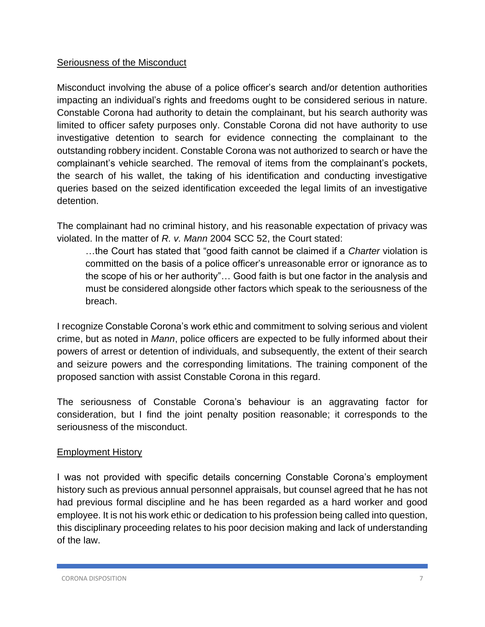#### Seriousness of the Misconduct

Misconduct involving the abuse of a police officer's search and/or detention authorities impacting an individual's rights and freedoms ought to be considered serious in nature. Constable Corona had authority to detain the complainant, but his search authority was limited to officer safety purposes only. Constable Corona did not have authority to use investigative detention to search for evidence connecting the complainant to the outstanding robbery incident. Constable Corona was not authorized to search or have the complainant's vehicle searched. The removal of items from the complainant's pockets, the search of his wallet, the taking of his identification and conducting investigative queries based on the seized identification exceeded the legal limits of an investigative detention.

The complainant had no criminal history, and his reasonable expectation of privacy was violated. In the matter of *R. v. Mann* 2004 SCC 52, the Court stated:

…the Court has stated that "good faith cannot be claimed if a *Charter* violation is committed on the basis of a police officer's unreasonable error or ignorance as to the scope of his or her authority"… Good faith is but one factor in the analysis and must be considered alongside other factors which speak to the seriousness of the breach.

I recognize Constable Corona's work ethic and commitment to solving serious and violent crime, but as noted in *Mann*, police officers are expected to be fully informed about their powers of arrest or detention of individuals, and subsequently, the extent of their search and seizure powers and the corresponding limitations. The training component of the proposed sanction with assist Constable Corona in this regard.

The seriousness of Constable Corona's behaviour is an aggravating factor for consideration, but I find the joint penalty position reasonable; it corresponds to the seriousness of the misconduct.

#### Employment History

I was not provided with specific details concerning Constable Corona's employment history such as previous annual personnel appraisals, but counsel agreed that he has not had previous formal discipline and he has been regarded as a hard worker and good employee. It is not his work ethic or dedication to his profession being called into question, this disciplinary proceeding relates to his poor decision making and lack of understanding of the law.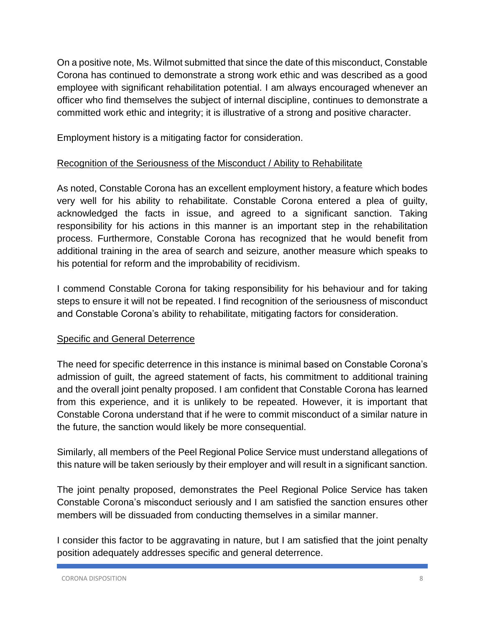On a positive note, Ms. Wilmot submitted that since the date of this misconduct, Constable Corona has continued to demonstrate a strong work ethic and was described as a good employee with significant rehabilitation potential. I am always encouraged whenever an officer who find themselves the subject of internal discipline, continues to demonstrate a committed work ethic and integrity; it is illustrative of a strong and positive character.

Employment history is a mitigating factor for consideration.

#### Recognition of the Seriousness of the Misconduct / Ability to Rehabilitate

As noted, Constable Corona has an excellent employment history, a feature which bodes very well for his ability to rehabilitate. Constable Corona entered a plea of guilty, acknowledged the facts in issue, and agreed to a significant sanction. Taking responsibility for his actions in this manner is an important step in the rehabilitation process. Furthermore, Constable Corona has recognized that he would benefit from additional training in the area of search and seizure, another measure which speaks to his potential for reform and the improbability of recidivism.

I commend Constable Corona for taking responsibility for his behaviour and for taking steps to ensure it will not be repeated. I find recognition of the seriousness of misconduct and Constable Corona's ability to rehabilitate, mitigating factors for consideration.

#### **Specific and General Deterrence**

The need for specific deterrence in this instance is minimal based on Constable Corona's admission of guilt, the agreed statement of facts, his commitment to additional training and the overall joint penalty proposed. I am confident that Constable Corona has learned from this experience, and it is unlikely to be repeated. However, it is important that Constable Corona understand that if he were to commit misconduct of a similar nature in the future, the sanction would likely be more consequential.

Similarly, all members of the Peel Regional Police Service must understand allegations of this nature will be taken seriously by their employer and will result in a significant sanction.

The joint penalty proposed, demonstrates the Peel Regional Police Service has taken Constable Corona's misconduct seriously and I am satisfied the sanction ensures other members will be dissuaded from conducting themselves in a similar manner.

I consider this factor to be aggravating in nature, but I am satisfied that the joint penalty position adequately addresses specific and general deterrence.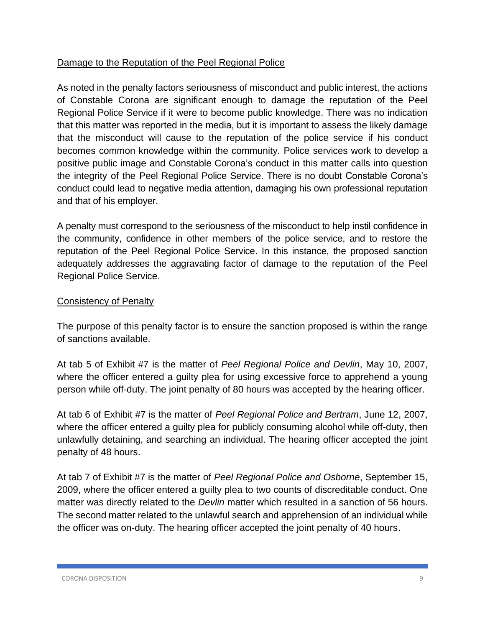# Damage to the Reputation of the Peel Regional Police

As noted in the penalty factors seriousness of misconduct and public interest, the actions of Constable Corona are significant enough to damage the reputation of the Peel Regional Police Service if it were to become public knowledge. There was no indication that this matter was reported in the media, but it is important to assess the likely damage that the misconduct will cause to the reputation of the police service if his conduct becomes common knowledge within the community. Police services work to develop a positive public image and Constable Corona's conduct in this matter calls into question the integrity of the Peel Regional Police Service. There is no doubt Constable Corona's conduct could lead to negative media attention, damaging his own professional reputation and that of his employer.

A penalty must correspond to the seriousness of the misconduct to help instil confidence in the community, confidence in other members of the police service, and to restore the reputation of the Peel Regional Police Service. In this instance, the proposed sanction adequately addresses the aggravating factor of damage to the reputation of the Peel Regional Police Service.

#### Consistency of Penalty

The purpose of this penalty factor is to ensure the sanction proposed is within the range of sanctions available.

At tab 5 of Exhibit #7 is the matter of *Peel Regional Police and Devlin*, May 10, 2007, where the officer entered a guilty plea for using excessive force to apprehend a young person while off-duty. The joint penalty of 80 hours was accepted by the hearing officer.

At tab 6 of Exhibit #7 is the matter of *Peel Regional Police and Bertram*, June 12, 2007, where the officer entered a guilty plea for publicly consuming alcohol while off-duty, then unlawfully detaining, and searching an individual. The hearing officer accepted the joint penalty of 48 hours.

At tab 7 of Exhibit #7 is the matter of *Peel Regional Police and Osborne*, September 15, 2009, where the officer entered a guilty plea to two counts of discreditable conduct. One matter was directly related to the *Devlin* matter which resulted in a sanction of 56 hours. The second matter related to the unlawful search and apprehension of an individual while the officer was on-duty. The hearing officer accepted the joint penalty of 40 hours.